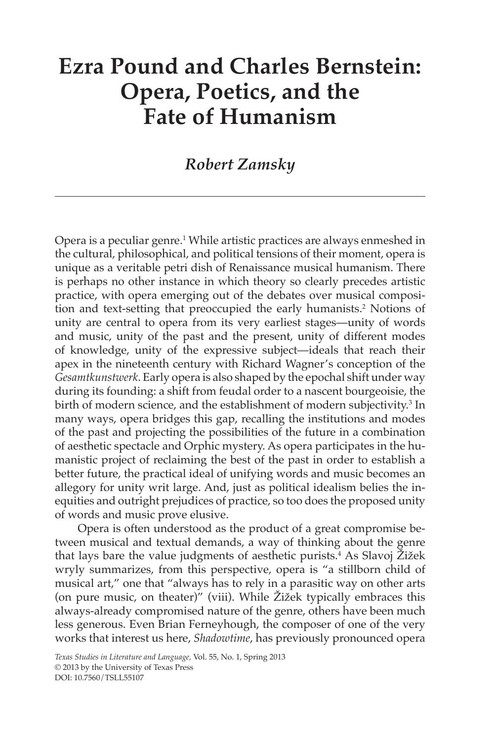## **Ezra Pound and Charles Bernstein: Opera, Poetics, and the Fate of Humanism**

## *Robert Zamsky*

Opera is a peculiar genre.1 While artistic practices are always enmeshed in the cultural, philosophical, and political tensions of their moment, opera is unique as a veritable petri dish of Renaissance musical humanism. There is perhaps no other instance in which theory so clearly precedes artistic practice, with opera emerging out of the debates over musical composition and text-setting that preoccupied the early humanists.2 Notions of unity are central to opera from its very earliest stages—unity of words and music, unity of the past and the present, unity of different modes of knowledge, unity of the expressive subject—ideals that reach their apex in the nineteenth century with Richard Wagner's conception of the *Gesamtkunstwerk*. Early opera is also shaped by the epochal shift under way during its founding: a shift from feudal order to a nascent bourgeoisie, the birth of modern science, and the establishment of modern subjectivity.<sup>3</sup> In many ways, opera bridges this gap, recalling the institutions and modes of the past and projecting the possibilities of the future in a combination of aesthetic spectacle and Orphic mystery. As opera participates in the humanistic project of reclaiming the best of the past in order to establish a better future, the practical ideal of unifying words and music becomes an allegory for unity writ large. And, just as political idealism belies the inequities and outright prejudices of practice, so too does the proposed unity of words and music prove elusive.

Opera is often understood as the product of a great compromise between musical and textual demands, a way of thinking about the genre that lays bare the value judgments of aesthetic purists.<sup>4</sup> As Slavoj Zižek wryly summarizes, from this perspective, opera is "a stillborn child of musical art," one that "always has to rely in a parasitic way on other arts (on pure music, on theater)" (viii). While Žižek typically embraces this always-already compromised nature of the genre, others have been much less generous. Even Brian Ferneyhough, the composer of one of the very works that interest us here, *Shadowtime*, has previously pronounced opera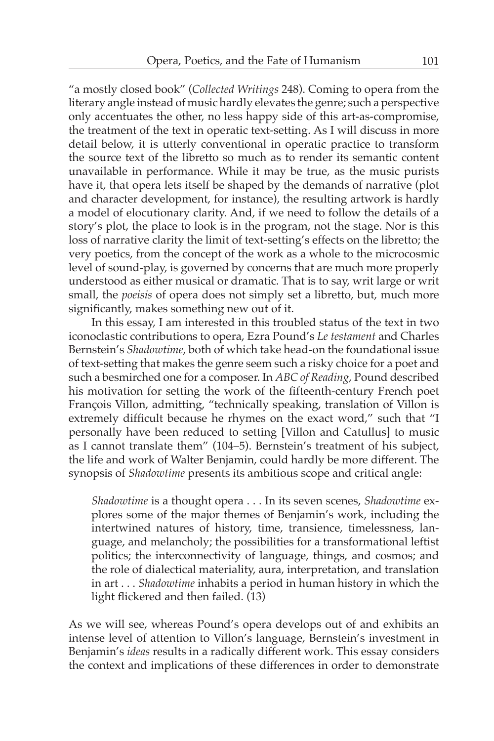"a mostly closed book" (*Collected Writings* 248). Coming to opera from the literary angle instead of music hardly elevates the genre; such a perspective only accentuates the other, no less happy side of this art-as-compromise, the treatment of the text in operatic text-setting. As I will discuss in more detail below, it is utterly conventional in operatic practice to transform the source text of the libretto so much as to render its semantic content unavailable in performance. While it may be true, as the music purists have it, that opera lets itself be shaped by the demands of narrative (plot and character development, for instance), the resulting artwork is hardly a model of elocutionary clarity. And, if we need to follow the details of a story's plot, the place to look is in the program, not the stage. Nor is this loss of narrative clarity the limit of text-setting's effects on the libretto; the very poetics, from the concept of the work as a whole to the microcosmic level of sound-play, is governed by concerns that are much more properly understood as either musical or dramatic. That is to say, writ large or writ small, the *poeisis* of opera does not simply set a libretto, but, much more significantly, makes something new out of it.

In this essay, I am interested in this troubled status of the text in two iconoclastic contributions to opera, Ezra Pound's *Le testament* and Charles Bernstein's *Shadowtime*, both of which take head-on the foundational issue of text-setting that makes the genre seem such a risky choice for a poet and such a besmirched one for a composer. In *ABC of Reading*, Pound described his motivation for setting the work of the fifteenth-century French poet François Villon, admitting, "technically speaking, translation of Villon is extremely difficult because he rhymes on the exact word," such that "I personally have been reduced to setting [Villon and Catullus] to music as I cannot translate them" (104–5). Bernstein's treatment of his subject, the life and work of Walter Benjamin, could hardly be more different. The synopsis of *Shadowtime* presents its ambitious scope and critical angle:

*Shadowtime* is a thought opera . . . In its seven scenes, *Shadowtime* explores some of the major themes of Benjamin's work, including the intertwined natures of history, time, transience, timelessness, language, and melancholy; the possibilities for a transformational leftist politics; the interconnectivity of language, things, and cosmos; and the role of dialectical materiality, aura, interpretation, and translation in art . . . *Shadowtime* inhabits a period in human history in which the light flickered and then failed. (13)

As we will see, whereas Pound's opera develops out of and exhibits an intense level of attention to Villon's language, Bernstein's investment in Benjamin's *ideas* results in a radically different work. This essay considers the context and implications of these differences in order to demonstrate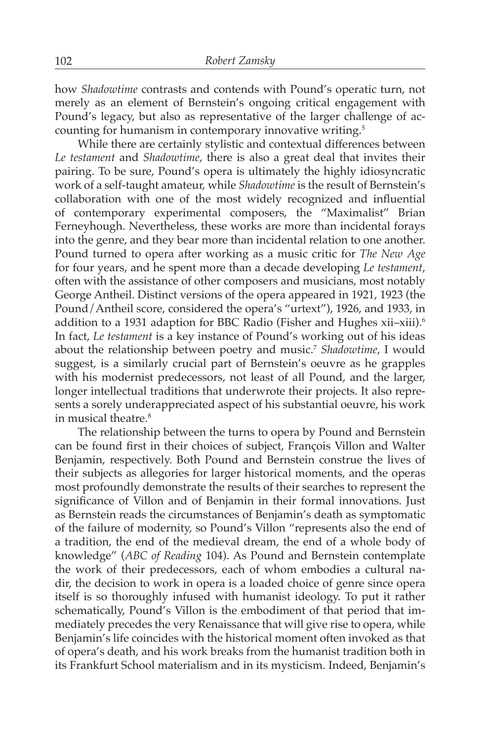how *Shadowtime* contrasts and contends with Pound's operatic turn, not merely as an element of Bernstein's ongoing critical engagement with Pound's legacy, but also as representative of the larger challenge of accounting for humanism in contemporary innovative writing.<sup>5</sup>

While there are certainly stylistic and contextual differences between *Le testament* and *Shadowtime*, there is also a great deal that invites their pairing. To be sure, Pound's opera is ultimately the highly idiosyncratic work of a self-taught amateur, while *Shadowtime* is the result of Bernstein's collaboration with one of the most widely recognized and influential of contemporary experimental composers, the "Maximalist" Brian Ferneyhough. Nevertheless, these works are more than incidental forays into the genre, and they bear more than incidental relation to one another. Pound turned to opera after working as a music critic for *The New Age* for four years, and he spent more than a decade developing *Le testament*, often with the assistance of other composers and musicians, most notably George Antheil. Distinct versions of the opera appeared in 1921, 1923 (the Pound/Antheil score, considered the opera's "urtext"), 1926, and 1933, in addition to a 1931 adaption for BBC Radio (Fisher and Hughes xii-xiii).<sup>6</sup> In fact, *Le testament* is a key instance of Pound's working out of his ideas about the relationship between poetry and music.7 *Shadowtime*, I would suggest, is a similarly crucial part of Bernstein's oeuvre as he grapples with his modernist predecessors, not least of all Pound, and the larger, longer intellectual traditions that underwrote their projects. It also represents a sorely underappreciated aspect of his substantial oeuvre, his work in musical theatre.<sup>8</sup>

The relationship between the turns to opera by Pound and Bernstein can be found first in their choices of subject, François Villon and Walter Benjamin, respectively. Both Pound and Bernstein construe the lives of their subjects as allegories for larger historical moments, and the operas most profoundly demonstrate the results of their searches to represent the significance of Villon and of Benjamin in their formal innovations. Just as Bernstein reads the circumstances of Benjamin's death as symptomatic of the failure of modernity, so Pound's Villon "represents also the end of a tradition, the end of the medieval dream, the end of a whole body of knowledge" (*ABC of Reading* 104). As Pound and Bernstein contemplate the work of their predecessors, each of whom embodies a cultural nadir, the decision to work in opera is a loaded choice of genre since opera itself is so thoroughly infused with humanist ideology. To put it rather schematically, Pound's Villon is the embodiment of that period that immediately precedes the very Renaissance that will give rise to opera, while Benjamin's life coincides with the historical moment often invoked as that of opera's death, and his work breaks from the humanist tradition both in its Frankfurt School materialism and in its mysticism. Indeed, Benjamin's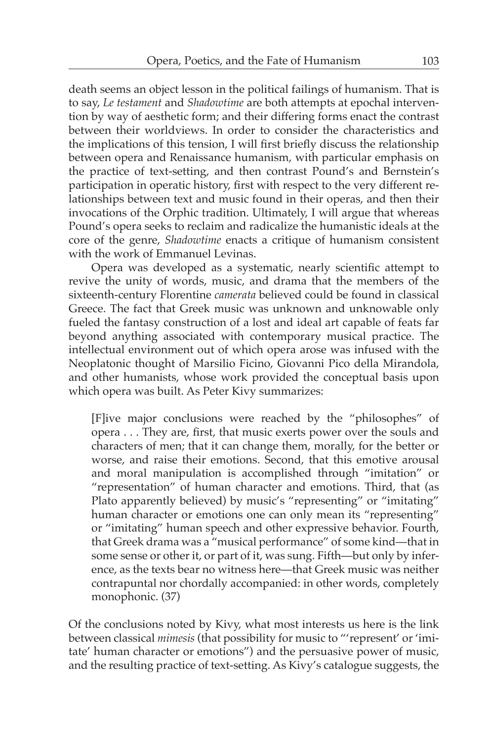death seems an object lesson in the political failings of humanism. That is to say, *Le testament* and *Shadowtime* are both attempts at epochal intervention by way of aesthetic form; and their differing forms enact the contrast between their worldviews. In order to consider the characteristics and the implications of this tension, I will first briefly discuss the relationship between opera and Renaissance humanism, with particular emphasis on the practice of text-setting, and then contrast Pound's and Bernstein's participation in operatic history, first with respect to the very different relationships between text and music found in their operas, and then their invocations of the Orphic tradition. Ultimately, I will argue that whereas Pound's opera seeks to reclaim and radicalize the humanistic ideals at the core of the genre, *Shadowtime* enacts a critique of humanism consistent with the work of Emmanuel Levinas.

Opera was developed as a systematic, nearly scientific attempt to revive the unity of words, music, and drama that the members of the sixteenth-century Florentine *camerata* believed could be found in classical Greece. The fact that Greek music was unknown and unknowable only fueled the fantasy construction of a lost and ideal art capable of feats far beyond anything associated with contemporary musical practice. The intellectual environment out of which opera arose was infused with the Neoplatonic thought of Marsilio Ficino, Giovanni Pico della Mirandola, and other humanists, whose work provided the conceptual basis upon which opera was built. As Peter Kivy summarizes:

[F]ive major conclusions were reached by the "philosophes" of opera . . . They are, first, that music exerts power over the souls and characters of men; that it can change them, morally, for the better or worse, and raise their emotions. Second, that this emotive arousal and moral manipulation is accomplished through "imitation" or "representation" of human character and emotions. Third, that (as Plato apparently believed) by music's "representing" or "imitating" human character or emotions one can only mean its "representing" or "imitating" human speech and other expressive behavior. Fourth, that Greek drama was a "musical performance" of some kind—that in some sense or other it, or part of it, was sung. Fifth—but only by inference, as the texts bear no witness here—that Greek music was neither contrapuntal nor chordally accompanied: in other words, completely monophonic. (37)

Of the conclusions noted by Kivy, what most interests us here is the link between classical *mimesis* (that possibility for music to "'represent' or 'imitate' human character or emotions") and the persuasive power of music, and the resulting practice of text-setting. As Kivy's catalogue suggests, the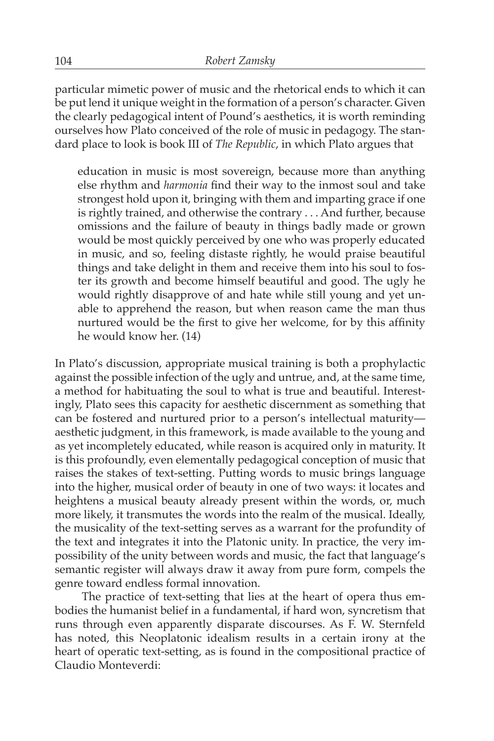particular mimetic power of music and the rhetorical ends to which it can be put lend it unique weight in the formation of a person's character. Given the clearly pedagogical intent of Pound's aesthetics, it is worth reminding ourselves how Plato conceived of the role of music in pedagogy. The standard place to look is book III of *The Republic*, in which Plato argues that

education in music is most sovereign, because more than anything else rhythm and *harmonia* find their way to the inmost soul and take strongest hold upon it, bringing with them and imparting grace if one is rightly trained, and otherwise the contrary . . . And further, because omissions and the failure of beauty in things badly made or grown would be most quickly perceived by one who was properly educated in music, and so, feeling distaste rightly, he would praise beautiful things and take delight in them and receive them into his soul to foster its growth and become himself beautiful and good. The ugly he would rightly disapprove of and hate while still young and yet unable to apprehend the reason, but when reason came the man thus nurtured would be the first to give her welcome, for by this affinity he would know her. (14)

In Plato's discussion, appropriate musical training is both a prophylactic against the possible infection of the ugly and untrue, and, at the same time, a method for habituating the soul to what is true and beautiful. Interestingly, Plato sees this capacity for aesthetic discernment as something that can be fostered and nurtured prior to a person's intellectual maturity aesthetic judgment, in this framework, is made available to the young and as yet incompletely educated, while reason is acquired only in maturity. It is this profoundly, even elementally pedagogical conception of music that raises the stakes of text-setting. Putting words to music brings language into the higher, musical order of beauty in one of two ways: it locates and heightens a musical beauty already present within the words, or, much more likely, it transmutes the words into the realm of the musical. Ideally, the musicality of the text-setting serves as a warrant for the profundity of the text and integrates it into the Platonic unity. In practice, the very impossibility of the unity between words and music, the fact that language's semantic register will always draw it away from pure form, compels the genre toward endless formal innovation.

 The practice of text-setting that lies at the heart of opera thus embodies the humanist belief in a fundamental, if hard won, syncretism that runs through even apparently disparate discourses. As F. W. Sternfeld has noted, this Neoplatonic idealism results in a certain irony at the heart of operatic text-setting, as is found in the compositional practice of Claudio Monteverdi: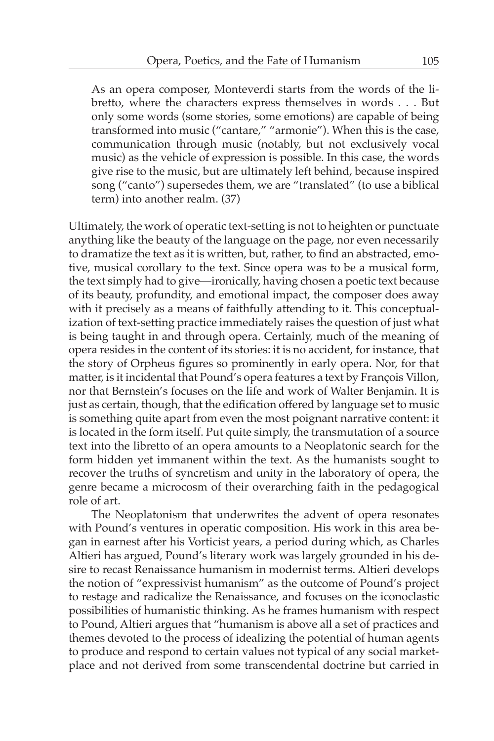As an opera composer, Monteverdi starts from the words of the libretto, where the characters express themselves in words . . . But only some words (some stories, some emotions) are capable of being transformed into music ("cantare," "armonie"). When this is the case, communication through music (notably, but not exclusively vocal music) as the vehicle of expression is possible. In this case, the words give rise to the music, but are ultimately left behind, because inspired song ("canto") supersedes them, we are "translated" (to use a biblical term) into another realm. (37)

Ultimately, the work of operatic text-setting is not to heighten or punctuate anything like the beauty of the language on the page, nor even necessarily to dramatize the text as it is written, but, rather, to find an abstracted, emotive, musical corollary to the text. Since opera was to be a musical form, the text simply had to give—ironically, having chosen a poetic text because of its beauty, profundity, and emotional impact, the composer does away with it precisely as a means of faithfully attending to it. This conceptualization of text-setting practice immediately raises the question of just what is being taught in and through opera. Certainly, much of the meaning of opera resides in the content of its stories: it is no accident, for instance, that the story of Orpheus figures so prominently in early opera. Nor, for that matter, is it incidental that Pound's opera features a text by François Villon, nor that Bernstein's focuses on the life and work of Walter Benjamin. It is just as certain, though, that the edification offered by language set to music is something quite apart from even the most poignant narrative content: it is located in the form itself. Put quite simply, the transmutation of a source text into the libretto of an opera amounts to a Neoplatonic search for the form hidden yet immanent within the text. As the humanists sought to recover the truths of syncretism and unity in the laboratory of opera, the genre became a microcosm of their overarching faith in the pedagogical role of art.

The Neoplatonism that underwrites the advent of opera resonates with Pound's ventures in operatic composition. His work in this area began in earnest after his Vorticist years, a period during which, as Charles Altieri has argued, Pound's literary work was largely grounded in his desire to recast Renaissance humanism in modernist terms. Altieri develops the notion of "expressivist humanism" as the outcome of Pound's project to restage and radicalize the Renaissance, and focuses on the iconoclastic possibilities of humanistic thinking. As he frames humanism with respect to Pound, Altieri argues that "humanism is above all a set of practices and themes devoted to the process of idealizing the potential of human agents to produce and respond to certain values not typical of any social marketplace and not derived from some transcendental doctrine but carried in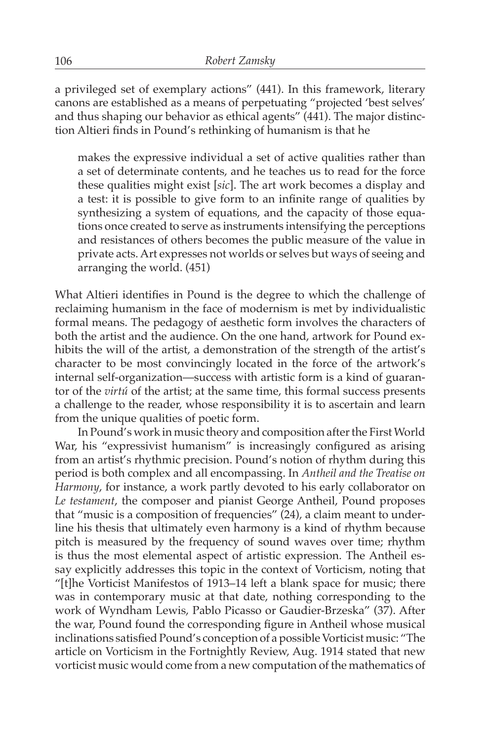a privileged set of exemplary actions" (441). In this framework, literary canons are established as a means of perpetuating "projected 'best selves' and thus shaping our behavior as ethical agents" (441). The major distinction Altieri finds in Pound's rethinking of humanism is that he

makes the expressive individual a set of active qualities rather than a set of determinate contents, and he teaches us to read for the force these qualities might exist [*sic*]. The art work becomes a display and a test: it is possible to give form to an infinite range of qualities by synthesizing a system of equations, and the capacity of those equations once created to serve as instruments intensifying the perceptions and resistances of others becomes the public measure of the value in private acts. Art expresses not worlds or selves but ways of seeing and arranging the world. (451)

What Altieri identifies in Pound is the degree to which the challenge of reclaiming humanism in the face of modernism is met by individualistic formal means. The pedagogy of aesthetic form involves the characters of both the artist and the audience. On the one hand, artwork for Pound exhibits the will of the artist, a demonstration of the strength of the artist's character to be most convincingly located in the force of the artwork's internal self-organization—success with artistic form is a kind of guarantor of the *virtú* of the artist; at the same time, this formal success presents a challenge to the reader, whose responsibility it is to ascertain and learn from the unique qualities of poetic form.

In Pound's work in music theory and composition after the First World War, his "expressivist humanism" is increasingly configured as arising from an artist's rhythmic precision. Pound's notion of rhythm during this period is both complex and all encompassing. In *Antheil and the Treatise on Harmony*, for instance, a work partly devoted to his early collaborator on *Le testament*, the composer and pianist George Antheil, Pound proposes that "music is a composition of frequencies" (24), a claim meant to underline his thesis that ultimately even harmony is a kind of rhythm because pitch is measured by the frequency of sound waves over time; rhythm is thus the most elemental aspect of artistic expression. The Antheil essay explicitly addresses this topic in the context of Vorticism, noting that "[t]he Vorticist Manifestos of 1913–14 left a blank space for music; there was in contemporary music at that date, nothing corresponding to the work of Wyndham Lewis, Pablo Picasso or Gaudier-Brzeska" (37). After the war, Pound found the corresponding figure in Antheil whose musical inclinations satisfied Pound's conception of a possible Vorticist music: "The article on Vorticism in the Fortnightly Review, Aug. 1914 stated that new vorticist music would come from a new computation of the mathematics of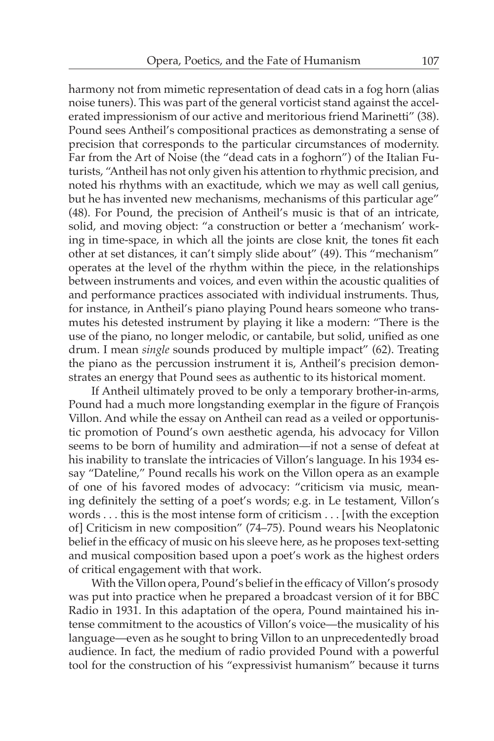harmony not from mimetic representation of dead cats in a fog horn (alias noise tuners). This was part of the general vorticist stand against the accelerated impressionism of our active and meritorious friend Marinetti" (38). Pound sees Antheil's compositional practices as demonstrating a sense of precision that corresponds to the particular circumstances of modernity. Far from the Art of Noise (the "dead cats in a foghorn") of the Italian Futurists, "Antheil has not only given his attention to rhythmic precision, and noted his rhythms with an exactitude, which we may as well call genius, but he has invented new mechanisms, mechanisms of this particular age" (48). For Pound, the precision of Antheil's music is that of an intricate, solid, and moving object: "a construction or better a 'mechanism' working in time-space, in which all the joints are close knit, the tones fit each other at set distances, it can't simply slide about" (49). This "mechanism" operates at the level of the rhythm within the piece, in the relationships between instruments and voices, and even within the acoustic qualities of and performance practices associated with individual instruments. Thus, for instance, in Antheil's piano playing Pound hears someone who transmutes his detested instrument by playing it like a modern: "There is the use of the piano, no longer melodic, or cantabile, but solid, unified as one drum. I mean *single* sounds produced by multiple impact" (62). Treating the piano as the percussion instrument it is, Antheil's precision demonstrates an energy that Pound sees as authentic to its historical moment.

If Antheil ultimately proved to be only a temporary brother-in-arms, Pound had a much more longstanding exemplar in the figure of François Villon. And while the essay on Antheil can read as a veiled or opportunistic promotion of Pound's own aesthetic agenda, his advocacy for Villon seems to be born of humility and admiration—if not a sense of defeat at his inability to translate the intricacies of Villon's language. In his 1934 essay "Dateline," Pound recalls his work on the Villon opera as an example of one of his favored modes of advocacy: "criticism via music, meaning definitely the setting of a poet's words; e.g. in Le testament, Villon's words . . . this is the most intense form of criticism . . . [with the exception of] Criticism in new composition" (74–75). Pound wears his Neoplatonic belief in the efficacy of music on his sleeve here, as he proposes text-setting and musical composition based upon a poet's work as the highest orders of critical engagement with that work.

With the Villon opera, Pound's belief in the efficacy of Villon's prosody was put into practice when he prepared a broadcast version of it for BBC Radio in 1931. In this adaptation of the opera, Pound maintained his intense commitment to the acoustics of Villon's voice—the musicality of his language—even as he sought to bring Villon to an unprecedentedly broad audience. In fact, the medium of radio provided Pound with a powerful tool for the construction of his "expressivist humanism" because it turns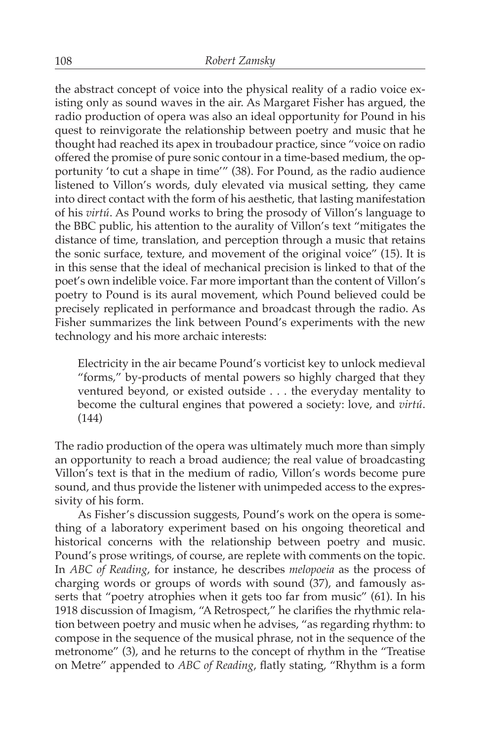the abstract concept of voice into the physical reality of a radio voice existing only as sound waves in the air. As Margaret Fisher has argued, the radio production of opera was also an ideal opportunity for Pound in his quest to reinvigorate the relationship between poetry and music that he thought had reached its apex in troubadour practice, since "voice on radio offered the promise of pure sonic contour in a time-based medium, the opportunity 'to cut a shape in time'" (38). For Pound, as the radio audience listened to Villon's words, duly elevated via musical setting, they came into direct contact with the form of his aesthetic, that lasting manifestation of his *virtú*. As Pound works to bring the prosody of Villon's language to the BBC public, his attention to the aurality of Villon's text "mitigates the distance of time, translation, and perception through a music that retains the sonic surface, texture, and movement of the original voice" (15). It is in this sense that the ideal of mechanical precision is linked to that of the poet's own indelible voice. Far more important than the content of Villon's poetry to Pound is its aural movement, which Pound believed could be precisely replicated in performance and broadcast through the radio. As Fisher summarizes the link between Pound's experiments with the new technology and his more archaic interests:

Electricity in the air became Pound's vorticist key to unlock medieval "forms," by-products of mental powers so highly charged that they ventured beyond, or existed outside . . . the everyday mentality to become the cultural engines that powered a society: love, and *virtú*. (144)

The radio production of the opera was ultimately much more than simply an opportunity to reach a broad audience; the real value of broadcasting Villon's text is that in the medium of radio, Villon's words become pure sound, and thus provide the listener with unimpeded access to the expressivity of his form.

As Fisher's discussion suggests, Pound's work on the opera is something of a laboratory experiment based on his ongoing theoretical and historical concerns with the relationship between poetry and music. Pound's prose writings, of course, are replete with comments on the topic. In *ABC of Reading*, for instance, he describes *melopoeia* as the process of charging words or groups of words with sound (37), and famously asserts that "poetry atrophies when it gets too far from music" (61). In his 1918 discussion of Imagism, "A Retrospect," he clarifies the rhythmic relation between poetry and music when he advises, "as regarding rhythm: to compose in the sequence of the musical phrase, not in the sequence of the metronome" (3), and he returns to the concept of rhythm in the "Treatise on Metre" appended to *ABC of Reading*, flatly stating, "Rhythm is a form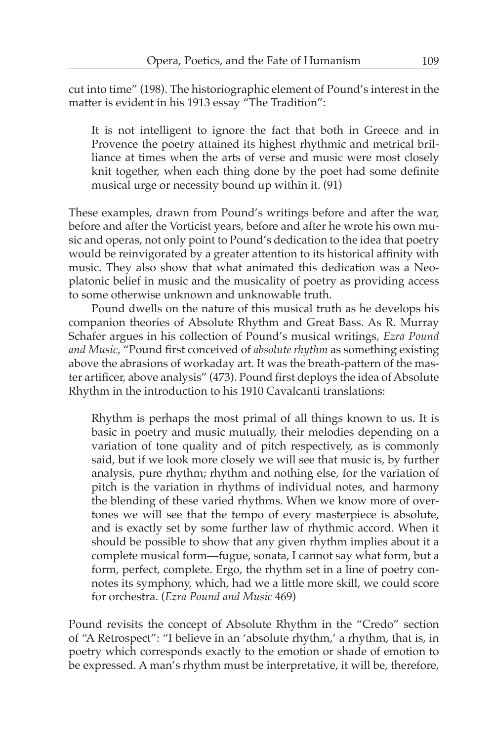cut into time" (198). The historiographic element of Pound's interest in the matter is evident in his 1913 essay "The Tradition":

It is not intelligent to ignore the fact that both in Greece and in Provence the poetry attained its highest rhythmic and metrical brilliance at times when the arts of verse and music were most closely knit together, when each thing done by the poet had some definite musical urge or necessity bound up within it. (91)

These examples, drawn from Pound's writings before and after the war, before and after the Vorticist years, before and after he wrote his own music and operas, not only point to Pound's dedication to the idea that poetry would be reinvigorated by a greater attention to its historical affinity with music. They also show that what animated this dedication was a Neoplatonic belief in music and the musicality of poetry as providing access to some otherwise unknown and unknowable truth.

Pound dwells on the nature of this musical truth as he develops his companion theories of Absolute Rhythm and Great Bass. As R. Murray Schafer argues in his collection of Pound's musical writings, *Ezra Pound and Music*, "Pound first conceived of *absolute rhythm* as something existing above the abrasions of workaday art. It was the breath-pattern of the master artificer, above analysis" (473). Pound first deploys the idea of Absolute Rhythm in the introduction to his 1910 Cavalcanti translations:

Rhythm is perhaps the most primal of all things known to us. It is basic in poetry and music mutually, their melodies depending on a variation of tone quality and of pitch respectively, as is commonly said, but if we look more closely we will see that music is, by further analysis, pure rhythm; rhythm and nothing else, for the variation of pitch is the variation in rhythms of individual notes, and harmony the blending of these varied rhythms. When we know more of overtones we will see that the tempo of every masterpiece is absolute, and is exactly set by some further law of rhythmic accord. When it should be possible to show that any given rhythm implies about it a complete musical form—fugue, sonata, I cannot say what form, but a form, perfect, complete. Ergo, the rhythm set in a line of poetry connotes its symphony, which, had we a little more skill, we could score for orchestra. (*Ezra Pound and Music* 469)

Pound revisits the concept of Absolute Rhythm in the "Credo" section of "A Retrospect": "I believe in an 'absolute rhythm,' a rhythm, that is, in poetry which corresponds exactly to the emotion or shade of emotion to be expressed. A man's rhythm must be interpretative, it will be, therefore,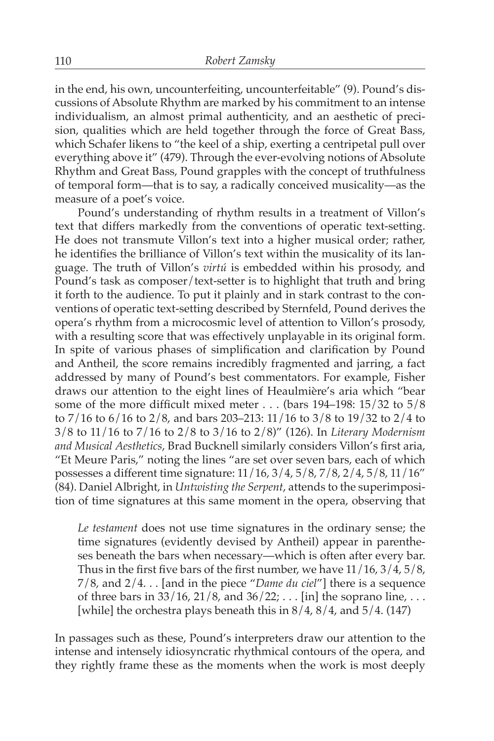in the end, his own, uncounterfeiting, uncounterfeitable" (9). Pound's discussions of Absolute Rhythm are marked by his commitment to an intense individualism, an almost primal authenticity, and an aesthetic of precision, qualities which are held together through the force of Great Bass, which Schafer likens to "the keel of a ship, exerting a centripetal pull over everything above it" (479). Through the ever-evolving notions of Absolute Rhythm and Great Bass, Pound grapples with the concept of truthfulness of temporal form—that is to say, a radically conceived musicality—as the measure of a poet's voice.

Pound's understanding of rhythm results in a treatment of Villon's text that differs markedly from the conventions of operatic text-setting. He does not transmute Villon's text into a higher musical order; rather, he identifies the brilliance of Villon's text within the musicality of its language. The truth of Villon's *virtú* is embedded within his prosody, and Pound's task as composer/text-setter is to highlight that truth and bring it forth to the audience. To put it plainly and in stark contrast to the conventions of operatic text-setting described by Sternfeld, Pound derives the opera's rhythm from a microcosmic level of attention to Villon's prosody, with a resulting score that was effectively unplayable in its original form. In spite of various phases of simplification and clarification by Pound and Antheil, the score remains incredibly fragmented and jarring, a fact addressed by many of Pound's best commentators. For example, Fisher draws our attention to the eight lines of Heaulmière's aria which "bear some of the more difficult mixed meter . . . (bars 194–198: 15/32 to 5/8 to 7/16 to 6/16 to 2/8, and bars 203–213: 11/16 to 3/8 to 19/32 to 2/4 to 3/8 to 11/16 to 7/16 to 2/8 to 3/16 to 2/8)" (126). In *Literary Modernism and Musical Aesthetics*, Brad Bucknell similarly considers Villon's first aria, "Et Meure Paris," noting the lines "are set over seven bars, each of which possesses a different time signature: 11/16, 3/4, 5/8, 7/8, 2/4, 5/8, 11/16" (84). Daniel Albright, in *Untwisting the Serpent*, attends to the superimposition of time signatures at this same moment in the opera, observing that

*Le testament* does not use time signatures in the ordinary sense; the time signatures (evidently devised by Antheil) appear in parentheses beneath the bars when necessary—which is often after every bar. Thus in the first five bars of the first number, we have 11/16, 3/4, 5/8, 7/8, and 2/4. . . [and in the piece "*Dame du ciel*"] there is a sequence of three bars in  $33/16$ ,  $21/8$ , and  $36/22$ ; . . . [in] the soprano line, . . . [while] the orchestra plays beneath this in  $8/4$ ,  $8/4$ , and  $5/4$ . (147)

In passages such as these, Pound's interpreters draw our attention to the intense and intensely idiosyncratic rhythmical contours of the opera, and they rightly frame these as the moments when the work is most deeply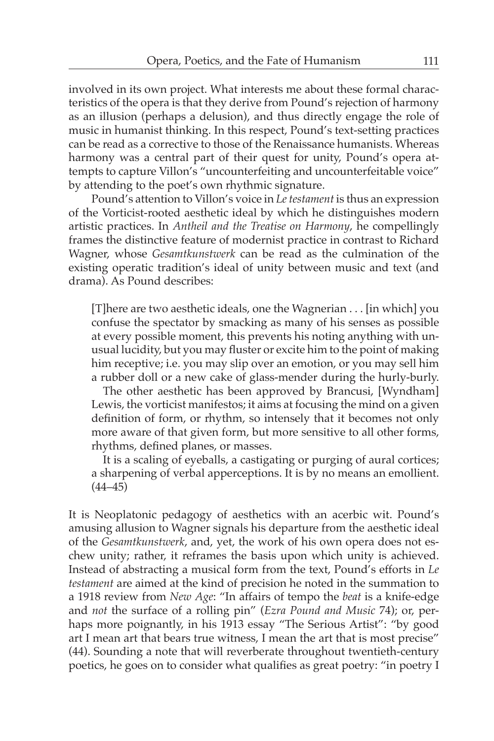involved in its own project. What interests me about these formal characteristics of the opera is that they derive from Pound's rejection of harmony as an illusion (perhaps a delusion), and thus directly engage the role of music in humanist thinking. In this respect, Pound's text-setting practices can be read as a corrective to those of the Renaissance humanists. Whereas harmony was a central part of their quest for unity, Pound's opera attempts to capture Villon's "uncounterfeiting and uncounterfeitable voice" by attending to the poet's own rhythmic signature.

Pound's attention to Villon's voice in *Le testament* is thus an expression of the Vorticist-rooted aesthetic ideal by which he distinguishes modern artistic practices. In *Antheil and the Treatise on Harmony*, he compellingly frames the distinctive feature of modernist practice in contrast to Richard Wagner, whose *Gesamtkunstwerk* can be read as the culmination of the existing operatic tradition's ideal of unity between music and text (and drama). As Pound describes:

[T]here are two aesthetic ideals, one the Wagnerian . . . [in which] you confuse the spectator by smacking as many of his senses as possible at every possible moment, this prevents his noting anything with unusual lucidity, but you may fluster or excite him to the point of making him receptive; i.e. you may slip over an emotion, or you may sell him a rubber doll or a new cake of glass-mender during the hurly-burly.

The other aesthetic has been approved by Brancusi, [Wyndham] Lewis, the vorticist manifestos; it aims at focusing the mind on a given definition of form, or rhythm, so intensely that it becomes not only more aware of that given form, but more sensitive to all other forms, rhythms, defined planes, or masses.

It is a scaling of eyeballs, a castigating or purging of aural cortices; a sharpening of verbal apperceptions. It is by no means an emollient.  $(44-45)$ 

It is Neoplatonic pedagogy of aesthetics with an acerbic wit. Pound's amusing allusion to Wagner signals his departure from the aesthetic ideal of the *Gesamtkunstwerk*, and, yet, the work of his own opera does not eschew unity; rather, it reframes the basis upon which unity is achieved. Instead of abstracting a musical form from the text, Pound's efforts in *Le testament* are aimed at the kind of precision he noted in the summation to a 1918 review from *New Age*: "In affairs of tempo the *beat* is a knife-edge and *not* the surface of a rolling pin" (*Ezra Pound and Music* 74); or, perhaps more poignantly, in his 1913 essay "The Serious Artist": "by good art I mean art that bears true witness, I mean the art that is most precise" (44). Sounding a note that will reverberate throughout twentieth-century poetics, he goes on to consider what qualifies as great poetry: "in poetry I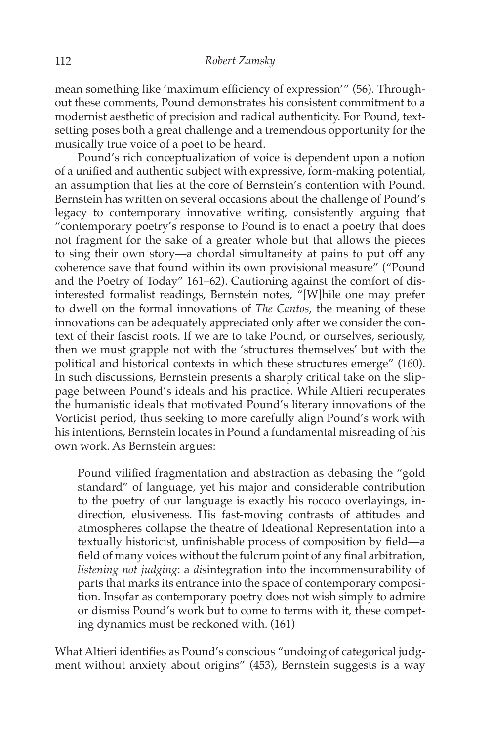mean something like 'maximum efficiency of expression'" (56). Throughout these comments, Pound demonstrates his consistent commitment to a modernist aesthetic of precision and radical authenticity. For Pound, textsetting poses both a great challenge and a tremendous opportunity for the musically true voice of a poet to be heard.

Pound's rich conceptualization of voice is dependent upon a notion of a unified and authentic subject with expressive, form-making potential, an assumption that lies at the core of Bernstein's contention with Pound. Bernstein has written on several occasions about the challenge of Pound's legacy to contemporary innovative writing, consistently arguing that "contemporary poetry's response to Pound is to enact a poetry that does not fragment for the sake of a greater whole but that allows the pieces to sing their own story—a chordal simultaneity at pains to put off any coherence save that found within its own provisional measure" ("Pound and the Poetry of Today" 161–62). Cautioning against the comfort of disinterested formalist readings, Bernstein notes, "[W]hile one may prefer to dwell on the formal innovations of *The Cantos*, the meaning of these innovations can be adequately appreciated only after we consider the context of their fascist roots. If we are to take Pound, or ourselves, seriously, then we must grapple not with the 'structures themselves' but with the political and historical contexts in which these structures emerge" (160). In such discussions, Bernstein presents a sharply critical take on the slippage between Pound's ideals and his practice. While Altieri recuperates the humanistic ideals that motivated Pound's literary innovations of the Vorticist period, thus seeking to more carefully align Pound's work with his intentions, Bernstein locates in Pound a fundamental misreading of his own work. As Bernstein argues:

Pound vilified fragmentation and abstraction as debasing the "gold standard" of language, yet his major and considerable contribution to the poetry of our language is exactly his rococo overlayings, indirection, elusiveness. His fast-moving contrasts of attitudes and atmospheres collapse the theatre of Ideational Representation into a textually historicist, unfinishable process of composition by field—a field of many voices without the fulcrum point of any final arbitration, *listening not judging*: a *dis*integration into the incommensurability of parts that marks its entrance into the space of contemporary composition. Insofar as contemporary poetry does not wish simply to admire or dismiss Pound's work but to come to terms with it, these competing dynamics must be reckoned with. (161)

What Altieri identifies as Pound's conscious "undoing of categorical judgment without anxiety about origins" (453), Bernstein suggests is a way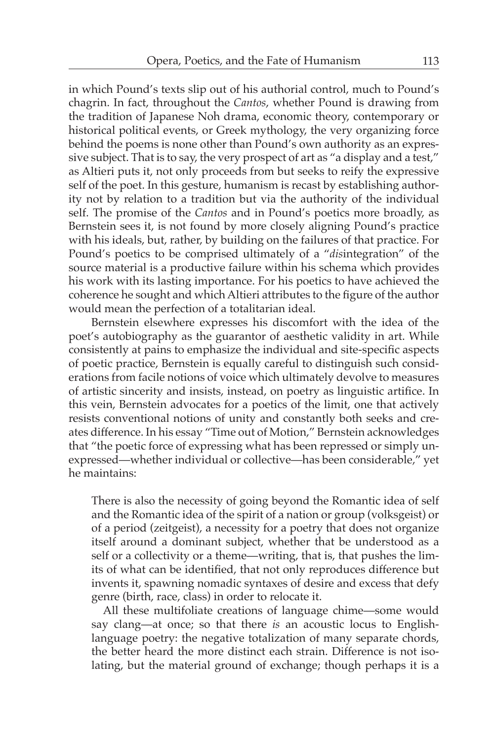in which Pound's texts slip out of his authorial control, much to Pound's chagrin. In fact, throughout the *Cantos*, whether Pound is drawing from the tradition of Japanese Noh drama, economic theory, contemporary or historical political events, or Greek mythology, the very organizing force behind the poems is none other than Pound's own authority as an expressive subject. That is to say, the very prospect of art as "a display and a test," as Altieri puts it, not only proceeds from but seeks to reify the expressive self of the poet. In this gesture, humanism is recast by establishing authority not by relation to a tradition but via the authority of the individual self. The promise of the *Cantos* and in Pound's poetics more broadly, as Bernstein sees it, is not found by more closely aligning Pound's practice with his ideals, but, rather, by building on the failures of that practice. For Pound's poetics to be comprised ultimately of a "*dis*integration" of the source material is a productive failure within his schema which provides his work with its lasting importance. For his poetics to have achieved the coherence he sought and which Altieri attributes to the figure of the author would mean the perfection of a totalitarian ideal.

Bernstein elsewhere expresses his discomfort with the idea of the poet's autobiography as the guarantor of aesthetic validity in art. While consistently at pains to emphasize the individual and site-specific aspects of poetic practice, Bernstein is equally careful to distinguish such considerations from facile notions of voice which ultimately devolve to measures of artistic sincerity and insists, instead, on poetry as linguistic artifice. In this vein, Bernstein advocates for a poetics of the limit, one that actively resists conventional notions of unity and constantly both seeks and creates difference. In his essay "Time out of Motion," Bernstein acknowledges that "the poetic force of expressing what has been repressed or simply unexpressed—whether individual or collective—has been considerable," yet he maintains:

There is also the necessity of going beyond the Romantic idea of self and the Romantic idea of the spirit of a nation or group (volksgeist) or of a period (zeitgeist), a necessity for a poetry that does not organize itself around a dominant subject, whether that be understood as a self or a collectivity or a theme—writing, that is, that pushes the limits of what can be identified, that not only reproduces difference but invents it, spawning nomadic syntaxes of desire and excess that defy genre (birth, race, class) in order to relocate it.

All these multifoliate creations of language chime—some would say clang—at once; so that there *is* an acoustic locus to Englishlanguage poetry: the negative totalization of many separate chords, the better heard the more distinct each strain. Difference is not isolating, but the material ground of exchange; though perhaps it is a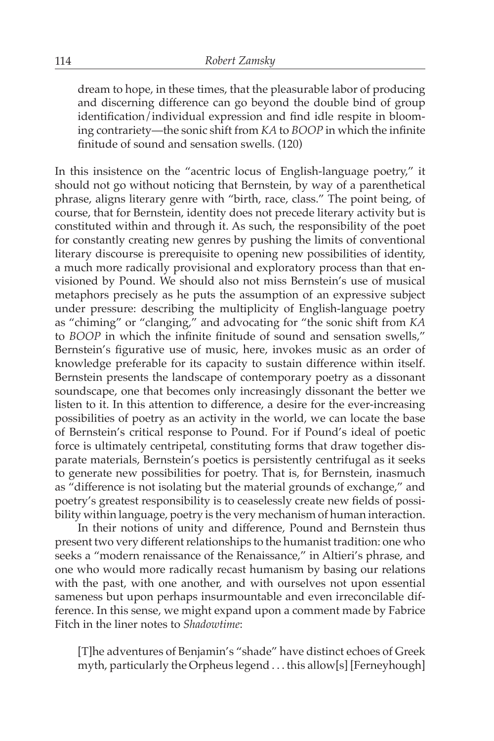dream to hope, in these times, that the pleasurable labor of producing and discerning difference can go beyond the double bind of group identification/individual expression and find idle respite in blooming contrariety—the sonic shift from *KA* to *BOOP* in which the infinite finitude of sound and sensation swells. (120)

In this insistence on the "acentric locus of English-language poetry," it should not go without noticing that Bernstein, by way of a parenthetical phrase, aligns literary genre with "birth, race, class." The point being, of course, that for Bernstein, identity does not precede literary activity but is constituted within and through it. As such, the responsibility of the poet for constantly creating new genres by pushing the limits of conventional literary discourse is prerequisite to opening new possibilities of identity, a much more radically provisional and exploratory process than that envisioned by Pound. We should also not miss Bernstein's use of musical metaphors precisely as he puts the assumption of an expressive subject under pressure: describing the multiplicity of English-language poetry as "chiming" or "clanging," and advocating for "the sonic shift from *KA* to *BOOP* in which the infinite finitude of sound and sensation swells," Bernstein's figurative use of music, here, invokes music as an order of knowledge preferable for its capacity to sustain difference within itself. Bernstein presents the landscape of contemporary poetry as a dissonant soundscape, one that becomes only increasingly dissonant the better we listen to it. In this attention to difference, a desire for the ever-increasing possibilities of poetry as an activity in the world, we can locate the base of Bernstein's critical response to Pound. For if Pound's ideal of poetic force is ultimately centripetal, constituting forms that draw together disparate materials, Bernstein's poetics is persistently centrifugal as it seeks to generate new possibilities for poetry. That is, for Bernstein, inasmuch as "difference is not isolating but the material grounds of exchange," and poetry's greatest responsibility is to ceaselessly create new fields of possibility within language, poetry is the very mechanism of human interaction.

In their notions of unity and difference, Pound and Bernstein thus present two very different relationships to the humanist tradition: one who seeks a "modern renaissance of the Renaissance," in Altieri's phrase, and one who would more radically recast humanism by basing our relations with the past, with one another, and with ourselves not upon essential sameness but upon perhaps insurmountable and even irreconcilable difference. In this sense, we might expand upon a comment made by Fabrice Fitch in the liner notes to *Shadowtime*:

[T]he adventures of Benjamin's "shade" have distinct echoes of Greek myth, particularly the Orpheus legend . . . this allow[s] [Ferneyhough]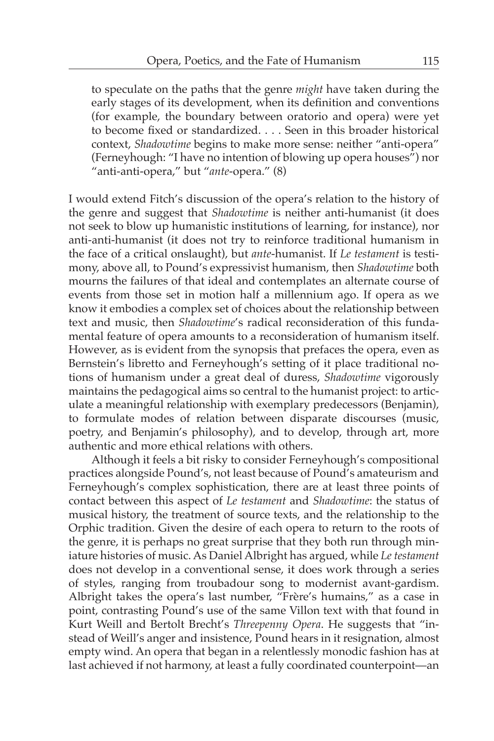to speculate on the paths that the genre *might* have taken during the early stages of its development, when its definition and conventions (for example, the boundary between oratorio and opera) were yet to become fixed or standardized. . . . Seen in this broader historical context, *Shadowtime* begins to make more sense: neither "anti-opera" (Ferneyhough: "I have no intention of blowing up opera houses") nor "anti-anti-opera," but "*ante*-opera." (8)

I would extend Fitch's discussion of the opera's relation to the history of the genre and suggest that *Shadowtime* is neither anti-humanist (it does not seek to blow up humanistic institutions of learning, for instance), nor anti-anti-humanist (it does not try to reinforce traditional humanism in the face of a critical onslaught), but *ante*-humanist. If *Le testament* is testimony, above all, to Pound's expressivist humanism, then *Shadowtime* both mourns the failures of that ideal and contemplates an alternate course of events from those set in motion half a millennium ago. If opera as we know it embodies a complex set of choices about the relationship between text and music, then *Shadowtime*'s radical reconsideration of this fundamental feature of opera amounts to a reconsideration of humanism itself. However, as is evident from the synopsis that prefaces the opera, even as Bernstein's libretto and Ferneyhough's setting of it place traditional notions of humanism under a great deal of duress, *Shadowtime* vigorously maintains the pedagogical aims so central to the humanist project: to articulate a meaningful relationship with exemplary predecessors (Benjamin), to formulate modes of relation between disparate discourses (music, poetry, and Benjamin's philosophy), and to develop, through art, more authentic and more ethical relations with others.

Although it feels a bit risky to consider Ferneyhough's compositional practices alongside Pound's, not least because of Pound's amateurism and Ferneyhough's complex sophistication, there are at least three points of contact between this aspect of *Le testament* and *Shadowtime*: the status of musical history, the treatment of source texts, and the relationship to the Orphic tradition. Given the desire of each opera to return to the roots of the genre, it is perhaps no great surprise that they both run through miniature histories of music. As Daniel Albright has argued, while *Le testament* does not develop in a conventional sense, it does work through a series of styles, ranging from troubadour song to modernist avant-gardism. Albright takes the opera's last number, "Frère's humains," as a case in point, contrasting Pound's use of the same Villon text with that found in Kurt Weill and Bertolt Brecht's *Threepenny Opera*. He suggests that "instead of Weill's anger and insistence, Pound hears in it resignation, almost empty wind. An opera that began in a relentlessly monodic fashion has at last achieved if not harmony, at least a fully coordinated counterpoint—an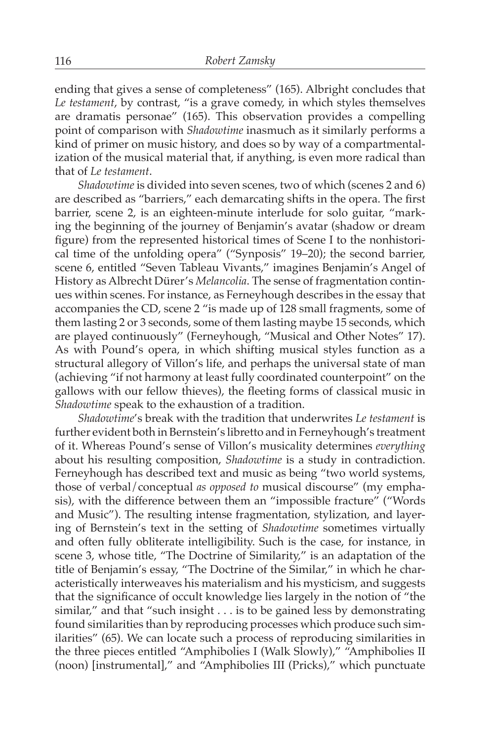ending that gives a sense of completeness" (165). Albright concludes that *Le testament*, by contrast, "is a grave comedy, in which styles themselves are dramatis personae" (165). This observation provides a compelling point of comparison with *Shadowtime* inasmuch as it similarly performs a kind of primer on music history, and does so by way of a compartmentalization of the musical material that, if anything, is even more radical than that of *Le testament*.

*Shadowtime* is divided into seven scenes, two of which (scenes 2 and 6) are described as "barriers," each demarcating shifts in the opera. The first barrier, scene 2, is an eighteen-minute interlude for solo guitar, "marking the beginning of the journey of Benjamin's avatar (shadow or dream figure) from the represented historical times of Scene I to the nonhistorical time of the unfolding opera" ("Synposis" 19–20); the second barrier, scene 6, entitled "Seven Tableau Vivants," imagines Benjamin's Angel of History as Albrecht Dürer's *Melancolia*. The sense of fragmentation continues within scenes. For instance, as Ferneyhough describes in the essay that accompanies the CD, scene 2 "is made up of 128 small fragments, some of them lasting 2 or 3 seconds, some of them lasting maybe 15 seconds, which are played continuously" (Ferneyhough, "Musical and Other Notes" 17). As with Pound's opera, in which shifting musical styles function as a structural allegory of Villon's life, and perhaps the universal state of man (achieving "if not harmony at least fully coordinated counterpoint" on the gallows with our fellow thieves), the fleeting forms of classical music in *Shadowtime* speak to the exhaustion of a tradition.

*Shadowtime*'s break with the tradition that underwrites *Le testament* is further evident both in Bernstein's libretto and in Ferneyhough's treatment of it. Whereas Pound's sense of Villon's musicality determines *everything* about his resulting composition, *Shadowtime* is a study in contradiction. Ferneyhough has described text and music as being "two world systems, those of verbal/conceptual *as opposed to* musical discourse" (my emphasis), with the difference between them an "impossible fracture" ("Words and Music"). The resulting intense fragmentation, stylization, and layering of Bernstein's text in the setting of *Shadowtime* sometimes virtually and often fully obliterate intelligibility. Such is the case, for instance, in scene 3, whose title, "The Doctrine of Similarity," is an adaptation of the title of Benjamin's essay, "The Doctrine of the Similar," in which he characteristically interweaves his materialism and his mysticism, and suggests that the significance of occult knowledge lies largely in the notion of "the similar," and that "such insight . . . is to be gained less by demonstrating found similarities than by reproducing processes which produce such similarities" (65). We can locate such a process of reproducing similarities in the three pieces entitled "Amphibolies I (Walk Slowly)," "Amphibolies II (noon) [instrumental]," and "Amphibolies III (Pricks)," which punctuate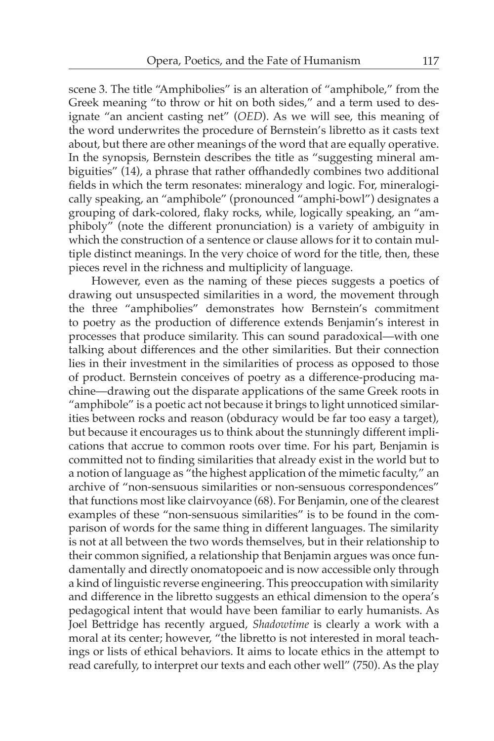scene 3. The title "Amphibolies" is an alteration of "amphibole," from the Greek meaning "to throw or hit on both sides," and a term used to designate "an ancient casting net" (*OED*). As we will see, this meaning of the word underwrites the procedure of Bernstein's libretto as it casts text about, but there are other meanings of the word that are equally operative. In the synopsis, Bernstein describes the title as "suggesting mineral ambiguities" (14), a phrase that rather offhandedly combines two additional fields in which the term resonates: mineralogy and logic. For, mineralogically speaking, an "amphibole" (pronounced "amphi-bowl") designates a grouping of dark-colored, flaky rocks, while, logically speaking, an "amphiboly" (note the different pronunciation) is a variety of ambiguity in which the construction of a sentence or clause allows for it to contain multiple distinct meanings. In the very choice of word for the title, then, these pieces revel in the richness and multiplicity of language.

However, even as the naming of these pieces suggests a poetics of drawing out unsuspected similarities in a word, the movement through the three "amphibolies" demonstrates how Bernstein's commitment to poetry as the production of difference extends Benjamin's interest in processes that produce similarity. This can sound paradoxical—with one talking about differences and the other similarities. But their connection lies in their investment in the similarities of process as opposed to those of product. Bernstein conceives of poetry as a difference-producing machine—drawing out the disparate applications of the same Greek roots in "amphibole" is a poetic act not because it brings to light unnoticed similarities between rocks and reason (obduracy would be far too easy a target), but because it encourages us to think about the stunningly different implications that accrue to common roots over time. For his part, Benjamin is committed not to finding similarities that already exist in the world but to a notion of language as "the highest application of the mimetic faculty," an archive of "non-sensuous similarities or non-sensuous correspondences" that functions most like clairvoyance (68). For Benjamin, one of the clearest examples of these "non-sensuous similarities" is to be found in the comparison of words for the same thing in different languages. The similarity is not at all between the two words themselves, but in their relationship to their common signified, a relationship that Benjamin argues was once fundamentally and directly onomatopoeic and is now accessible only through a kind of linguistic reverse engineering. This preoccupation with similarity and difference in the libretto suggests an ethical dimension to the opera's pedagogical intent that would have been familiar to early humanists. As Joel Bettridge has recently argued, *Shadowtime* is clearly a work with a moral at its center; however, "the libretto is not interested in moral teachings or lists of ethical behaviors. It aims to locate ethics in the attempt to read carefully, to interpret our texts and each other well" (750). As the play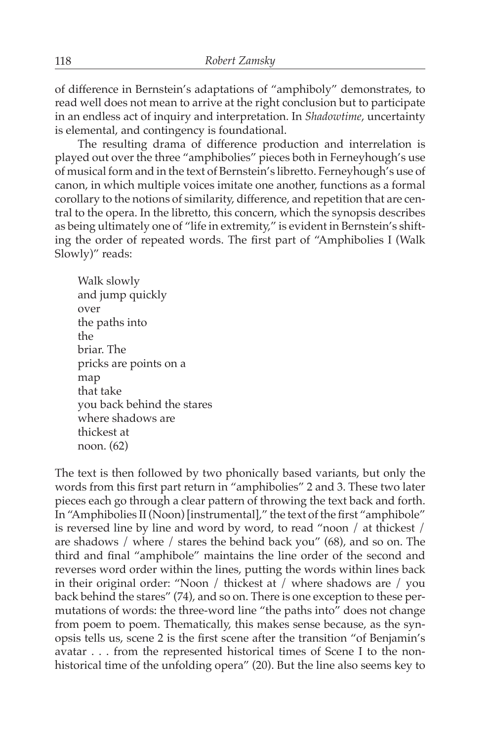of difference in Bernstein's adaptations of "amphiboly" demonstrates, to read well does not mean to arrive at the right conclusion but to participate in an endless act of inquiry and interpretation. In *Shadowtime*, uncertainty is elemental, and contingency is foundational.

The resulting drama of difference production and interrelation is played out over the three "amphibolies" pieces both in Ferneyhough's use of musical form and in the text of Bernstein's libretto. Ferneyhough's use of canon, in which multiple voices imitate one another, functions as a formal corollary to the notions of similarity, difference, and repetition that are central to the opera. In the libretto, this concern, which the synopsis describes as being ultimately one of "life in extremity," is evident in Bernstein's shifting the order of repeated words. The first part of "Amphibolies I (Walk Slowly)" reads:

Walk slowly and jump quickly over the paths into the briar. The pricks are points on a map that take you back behind the stares where shadows are thickest at noon. (62)

The text is then followed by two phonically based variants, but only the words from this first part return in "amphibolies" 2 and 3. These two later pieces each go through a clear pattern of throwing the text back and forth. In "Amphibolies II (Noon) [instrumental]," the text of the first "amphibole" is reversed line by line and word by word, to read "noon / at thickest / are shadows / where / stares the behind back you" (68), and so on. The third and final "amphibole" maintains the line order of the second and reverses word order within the lines, putting the words within lines back in their original order: "Noon / thickest at / where shadows are / you back behind the stares" (74), and so on. There is one exception to these permutations of words: the three-word line "the paths into" does not change from poem to poem. Thematically, this makes sense because, as the synopsis tells us, scene 2 is the first scene after the transition "of Benjamin's avatar . . . from the represented historical times of Scene I to the nonhistorical time of the unfolding opera" (20). But the line also seems key to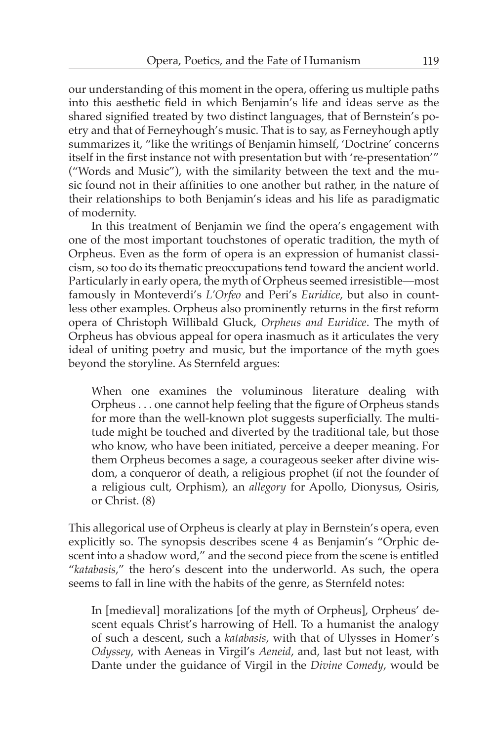our understanding of this moment in the opera, offering us multiple paths into this aesthetic field in which Benjamin's life and ideas serve as the shared signified treated by two distinct languages, that of Bernstein's poetry and that of Ferneyhough's music. That is to say, as Ferneyhough aptly summarizes it, "like the writings of Benjamin himself, 'Doctrine' concerns itself in the first instance not with presentation but with 're-presentation'" ("Words and Music"), with the similarity between the text and the music found not in their affinities to one another but rather, in the nature of their relationships to both Benjamin's ideas and his life as paradigmatic of modernity.

In this treatment of Benjamin we find the opera's engagement with one of the most important touchstones of operatic tradition, the myth of Orpheus. Even as the form of opera is an expression of humanist classicism, so too do its thematic preoccupations tend toward the ancient world. Particularly in early opera, the myth of Orpheus seemed irresistible—most famously in Monteverdi's *L'Orfeo* and Peri's *Euridice*, but also in countless other examples. Orpheus also prominently returns in the first reform opera of Christoph Willibald Gluck, *Orpheus and Euridice*. The myth of Orpheus has obvious appeal for opera inasmuch as it articulates the very ideal of uniting poetry and music, but the importance of the myth goes beyond the storyline. As Sternfeld argues:

When one examines the voluminous literature dealing with Orpheus . . . one cannot help feeling that the figure of Orpheus stands for more than the well-known plot suggests superficially. The multitude might be touched and diverted by the traditional tale, but those who know, who have been initiated, perceive a deeper meaning. For them Orpheus becomes a sage, a courageous seeker after divine wisdom, a conqueror of death, a religious prophet (if not the founder of a religious cult, Orphism), an *allegory* for Apollo, Dionysus, Osiris, or Christ. (8)

This allegorical use of Orpheus is clearly at play in Bernstein's opera, even explicitly so. The synopsis describes scene 4 as Benjamin's "Orphic descent into a shadow word," and the second piece from the scene is entitled "*katabasis*," the hero's descent into the underworld. As such, the opera seems to fall in line with the habits of the genre, as Sternfeld notes:

In [medieval] moralizations [of the myth of Orpheus], Orpheus' descent equals Christ's harrowing of Hell. To a humanist the analogy of such a descent, such a *katabasis*, with that of Ulysses in Homer's *Odyssey*, with Aeneas in Virgil's *Aeneid*, and, last but not least, with Dante under the guidance of Virgil in the *Divine Comedy*, would be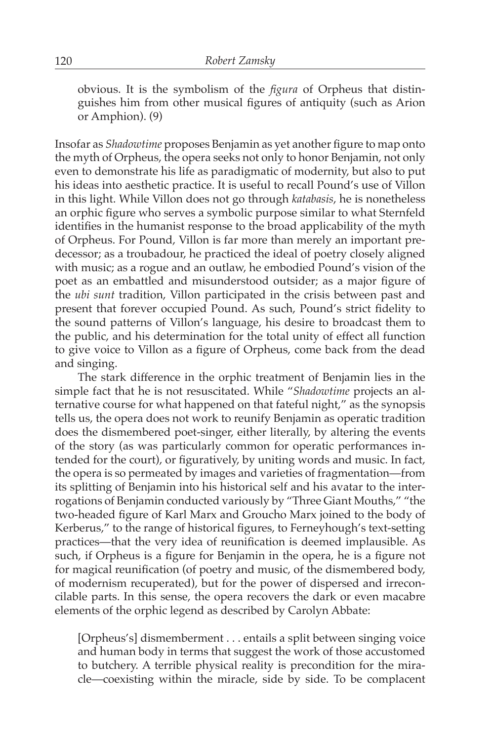obvious. It is the symbolism of the *figura* of Orpheus that distinguishes him from other musical figures of antiquity (such as Arion or Amphion). (9)

Insofar as *Shadowtime* proposes Benjamin as yet another figure to map onto the myth of Orpheus, the opera seeks not only to honor Benjamin, not only even to demonstrate his life as paradigmatic of modernity, but also to put his ideas into aesthetic practice. It is useful to recall Pound's use of Villon in this light. While Villon does not go through *katabasis*, he is nonetheless an orphic figure who serves a symbolic purpose similar to what Sternfeld identifies in the humanist response to the broad applicability of the myth of Orpheus. For Pound, Villon is far more than merely an important predecessor; as a troubadour, he practiced the ideal of poetry closely aligned with music; as a rogue and an outlaw, he embodied Pound's vision of the poet as an embattled and misunderstood outsider; as a major figure of the *ubi sunt* tradition, Villon participated in the crisis between past and present that forever occupied Pound. As such, Pound's strict fidelity to the sound patterns of Villon's language, his desire to broadcast them to the public, and his determination for the total unity of effect all function to give voice to Villon as a figure of Orpheus, come back from the dead and singing.

The stark difference in the orphic treatment of Benjamin lies in the simple fact that he is not resuscitated. While "*Shadowtime* projects an alternative course for what happened on that fateful night," as the synopsis tells us, the opera does not work to reunify Benjamin as operatic tradition does the dismembered poet-singer, either literally, by altering the events of the story (as was particularly common for operatic performances intended for the court), or figuratively, by uniting words and music. In fact, the opera is so permeated by images and varieties of fragmentation—from its splitting of Benjamin into his historical self and his avatar to the interrogations of Benjamin conducted variously by "Three Giant Mouths," "the two-headed figure of Karl Marx and Groucho Marx joined to the body of Kerberus," to the range of historical figures, to Ferneyhough's text-setting practices—that the very idea of reunification is deemed implausible. As such, if Orpheus is a figure for Benjamin in the opera, he is a figure not for magical reunification (of poetry and music, of the dismembered body, of modernism recuperated), but for the power of dispersed and irreconcilable parts. In this sense, the opera recovers the dark or even macabre elements of the orphic legend as described by Carolyn Abbate:

[Orpheus's] dismemberment . . . entails a split between singing voice and human body in terms that suggest the work of those accustomed to butchery. A terrible physical reality is precondition for the miracle—coexisting within the miracle, side by side. To be complacent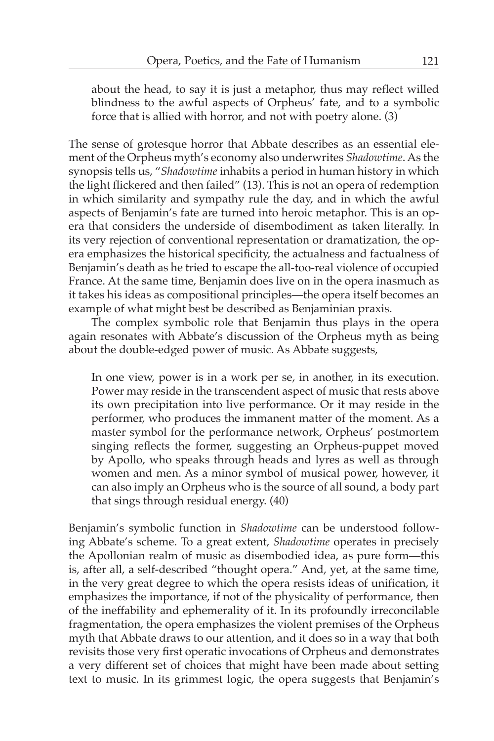about the head, to say it is just a metaphor, thus may reflect willed blindness to the awful aspects of Orpheus' fate, and to a symbolic force that is allied with horror, and not with poetry alone. (3)

The sense of grotesque horror that Abbate describes as an essential element of the Orpheus myth's economy also underwrites *Shadowtime*. As the synopsis tells us, "*Shadowtime* inhabits a period in human history in which the light flickered and then failed" (13). This is not an opera of redemption in which similarity and sympathy rule the day, and in which the awful aspects of Benjamin's fate are turned into heroic metaphor. This is an opera that considers the underside of disembodiment as taken literally. In its very rejection of conventional representation or dramatization, the opera emphasizes the historical specificity, the actualness and factualness of Benjamin's death as he tried to escape the all-too-real violence of occupied France. At the same time, Benjamin does live on in the opera inasmuch as it takes his ideas as compositional principles—the opera itself becomes an example of what might best be described as Benjaminian praxis.

The complex symbolic role that Benjamin thus plays in the opera again resonates with Abbate's discussion of the Orpheus myth as being about the double-edged power of music. As Abbate suggests,

In one view, power is in a work per se, in another, in its execution. Power may reside in the transcendent aspect of music that rests above its own precipitation into live performance. Or it may reside in the performer, who produces the immanent matter of the moment. As a master symbol for the performance network, Orpheus' postmortem singing reflects the former, suggesting an Orpheus-puppet moved by Apollo, who speaks through heads and lyres as well as through women and men. As a minor symbol of musical power, however, it can also imply an Orpheus who is the source of all sound, a body part that sings through residual energy. (40)

Benjamin's symbolic function in *Shadowtime* can be understood following Abbate's scheme. To a great extent, *Shadowtime* operates in precisely the Apollonian realm of music as disembodied idea, as pure form—this is, after all, a self-described "thought opera." And, yet, at the same time, in the very great degree to which the opera resists ideas of unification, it emphasizes the importance, if not of the physicality of performance, then of the ineffability and ephemerality of it. In its profoundly irreconcilable fragmentation, the opera emphasizes the violent premises of the Orpheus myth that Abbate draws to our attention, and it does so in a way that both revisits those very first operatic invocations of Orpheus and demonstrates a very different set of choices that might have been made about setting text to music. In its grimmest logic, the opera suggests that Benjamin's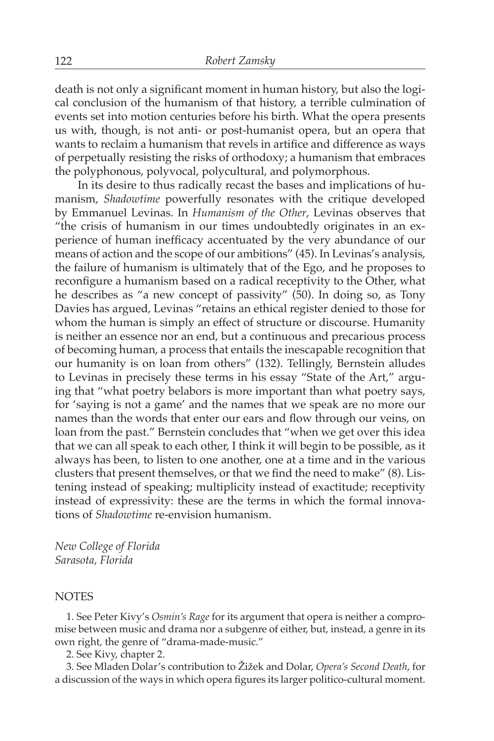death is not only a significant moment in human history, but also the logical conclusion of the humanism of that history, a terrible culmination of events set into motion centuries before his birth. What the opera presents us with, though, is not anti- or post-humanist opera, but an opera that wants to reclaim a humanism that revels in artifice and difference as ways of perpetually resisting the risks of orthodoxy; a humanism that embraces the polyphonous, polyvocal, polycultural, and polymorphous.

In its desire to thus radically recast the bases and implications of humanism, *Shadowtime* powerfully resonates with the critique developed by Emmanuel Levinas. In *Humanism of the Other*, Levinas observes that "the crisis of humanism in our times undoubtedly originates in an experience of human inefficacy accentuated by the very abundance of our means of action and the scope of our ambitions" (45). In Levinas's analysis, the failure of humanism is ultimately that of the Ego, and he proposes to reconfigure a humanism based on a radical receptivity to the Other, what he describes as "a new concept of passivity" (50). In doing so, as Tony Davies has argued, Levinas "retains an ethical register denied to those for whom the human is simply an effect of structure or discourse. Humanity is neither an essence nor an end, but a continuous and precarious process of becoming human, a process that entails the inescapable recognition that our humanity is on loan from others" (132). Tellingly, Bernstein alludes to Levinas in precisely these terms in his essay "State of the Art," arguing that "what poetry belabors is more important than what poetry says, for 'saying is not a game' and the names that we speak are no more our names than the words that enter our ears and flow through our veins, on loan from the past." Bernstein concludes that "when we get over this idea that we can all speak to each other, I think it will begin to be possible, as it always has been, to listen to one another, one at a time and in the various clusters that present themselves, or that we find the need to make" (8). Listening instead of speaking; multiplicity instead of exactitude; receptivity instead of expressivity: these are the terms in which the formal innovations of *Shadowtime* re-envision humanism.

*New College of Florida Sarasota, Florida*

## **NOTES**

1. See Peter Kivy's *Osmin's Rage* for its argument that opera is neither a compromise between music and drama nor a subgenre of either, but, instead, a genre in its own right, the genre of "drama-made-music."

2. See Kivy, chapter 2.

3. See Mladen Dolar's contribution to Žižek and Dolar, *Opera's Second Death*, for a discussion of the ways in which opera figures its larger politico-cultural moment.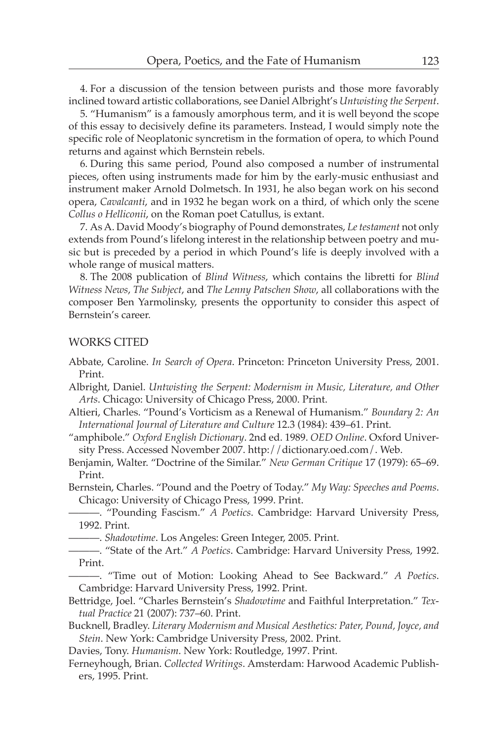4. For a discussion of the tension between purists and those more favorably inclined toward artistic collaborations, see Daniel Albright's *Untwisting the Serpent*.

5. "Humanism" is a famously amorphous term, and it is well beyond the scope of this essay to decisively define its parameters. Instead, I would simply note the specific role of Neoplatonic syncretism in the formation of opera, to which Pound returns and against which Bernstein rebels.

6. During this same period, Pound also composed a number of instrumental pieces, often using instruments made for him by the early-music enthusiast and instrument maker Arnold Dolmetsch. In 1931, he also began work on his second opera, *Cavalcanti*, and in 1932 he began work on a third, of which only the scene *Collus o Helliconii*, on the Roman poet Catullus, is extant.

7. As A. David Moody's biography of Pound demonstrates, *Le testament* not only extends from Pound's lifelong interest in the relationship between poetry and music but is preceded by a period in which Pound's life is deeply involved with a whole range of musical matters.

8. The 2008 publication of *Blind Witness*, which contains the libretti for *Blind Witness News*, *The Subject*, and *The Lenny Patschen Show*, all collaborations with the composer Ben Yarmolinsky, presents the opportunity to consider this aspect of Bernstein's career.

## WORKS CITED

- Abbate, Caroline. *In Search of Opera*. Princeton: Princeton University Press, 2001. Print.
- Albright, Daniel. *Untwisting the Serpent: Modernism in Music, Literature, and Other Arts*. Chicago: University of Chicago Press, 2000. Print.
- Altieri, Charles. "Pound's Vorticism as a Renewal of Humanism." *Boundary 2: An International Journal of Literature and Culture* 12.3 (1984): 439–61. Print.
- "amphibole." *Oxford English Dictionary*. 2nd ed. 1989. *OED Online*. Oxford University Press. Accessed November 2007. http://dictionary.oed.com/. Web.
- Benjamin, Walter. "Doctrine of the Similar." *New German Critique* 17 (1979): 65–69. Print.

Bernstein, Charles. "Pound and the Poetry of Today." *My Way: Speeches and Poems*. Chicago: University of Chicago Press, 1999. Print.

- ———. "Pounding Fascism." *A Poetics*. Cambridge: Harvard University Press, 1992. Print.
- ———. *Shadowtime*. Los Angeles: Green Integer, 2005. Print.
- ———. "State of the Art." *A Poetics*. Cambridge: Harvard University Press, 1992. Print.
- ———. "Time out of Motion: Looking Ahead to See Backward." *A Poetics*. Cambridge: Harvard University Press, 1992. Print.
- Bettridge, Joel. "Charles Bernstein's *Shadowtime* and Faithful Interpretation." *Textual Practice* 21 (2007): 737–60. Print.
- Bucknell, Bradley. *Literary Modernism and Musical Aesthetics: Pater, Pound, Joyce, and Stein*. New York: Cambridge University Press, 2002. Print.
- Davies, Tony. *Humanism*. New York: Routledge, 1997. Print.
- Ferneyhough, Brian. *Collected Writings*. Amsterdam: Harwood Academic Publishers, 1995. Print.